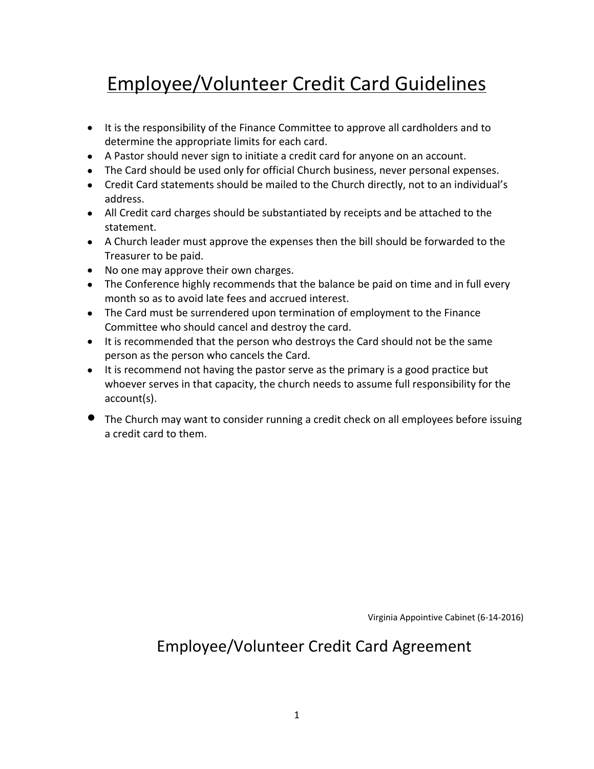## Employee/Volunteer Credit Card Guidelines

- It is the responsibility of the Finance Committee to approve all cardholders and to determine the appropriate limits for each card.
- A Pastor should never sign to initiate a credit card for anyone on an account.
- The Card should be used only for official Church business, never personal expenses.
- Credit Card statements should be mailed to the Church directly, not to an individual's address.
- All Credit card charges should be substantiated by receipts and be attached to the statement.
- A Church leader must approve the expenses then the bill should be forwarded to the Treasurer to be paid.
- No one may approve their own charges.
- The Conference highly recommends that the balance be paid on time and in full every month so as to avoid late fees and accrued interest.
- The Card must be surrendered upon termination of employment to the Finance Committee who should cancel and destroy the card.
- It is recommended that the person who destroys the Card should not be the same person as the person who cancels the Card.
- It is recommend not having the pastor serve as the primary is a good practice but whoever serves in that capacity, the church needs to assume full responsibility for the account(s).
- The Church may want to consider running a credit check on all employees before issuing a credit card to them.

Virginia Appointive Cabinet (6-14-2016)

## Employee/Volunteer Credit Card Agreement